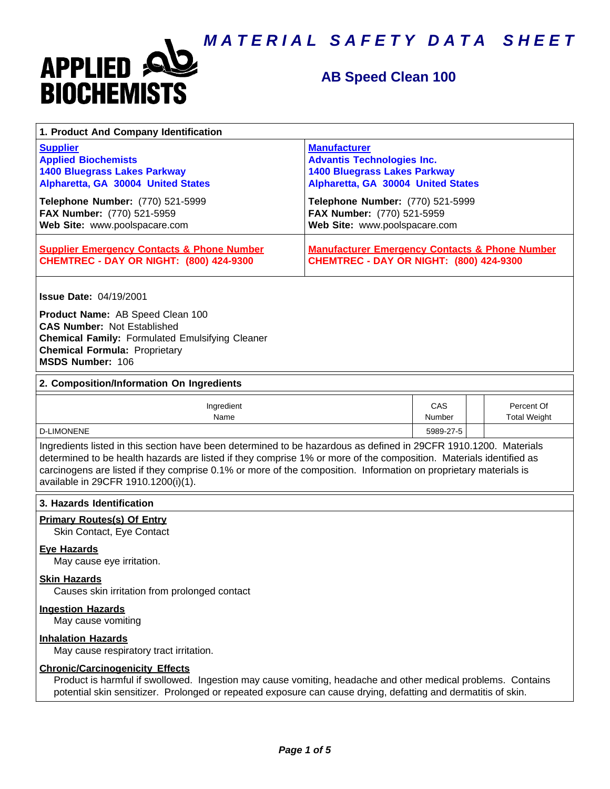

# **AB Speed Clean 100**

| 1. Product And Company Identification                                                                                                                                                                                                                                                                                                                                                             |                                                                                                                                       |                             |  |                                   |  |
|---------------------------------------------------------------------------------------------------------------------------------------------------------------------------------------------------------------------------------------------------------------------------------------------------------------------------------------------------------------------------------------------------|---------------------------------------------------------------------------------------------------------------------------------------|-----------------------------|--|-----------------------------------|--|
| <b>Supplier</b><br><b>Applied Biochemists</b><br><b>1400 Bluegrass Lakes Parkway</b><br>Alpharetta, GA 30004 United States                                                                                                                                                                                                                                                                        | <b>Manufacturer</b><br><b>Advantis Technologies Inc.</b><br><b>1400 Bluegrass Lakes Parkway</b><br>Alpharetta, GA 30004 United States |                             |  |                                   |  |
| Telephone Number: (770) 521-5999<br>FAX Number: (770) 521-5959<br>Web Site: www.poolspacare.com                                                                                                                                                                                                                                                                                                   | Telephone Number: (770) 521-5999<br>FAX Number: (770) 521-5959<br>Web Site: www.poolspacare.com                                       |                             |  |                                   |  |
| <b>Supplier Emergency Contacts &amp; Phone Number</b><br><b>CHEMTREC - DAY OR NIGHT: (800) 424-9300</b>                                                                                                                                                                                                                                                                                           | <b>Manufacturer Emergency Contacts &amp; Phone Number</b><br><b>CHEMTREC - DAY OR NIGHT: (800) 424-9300</b>                           |                             |  |                                   |  |
| <b>Issue Date: 04/19/2001</b><br>Product Name: AB Speed Clean 100                                                                                                                                                                                                                                                                                                                                 |                                                                                                                                       |                             |  |                                   |  |
| <b>CAS Number: Not Established</b><br><b>Chemical Family: Formulated Emulsifying Cleaner</b><br><b>Chemical Formula: Proprietary</b><br>MSDS Number: 106                                                                                                                                                                                                                                          |                                                                                                                                       |                             |  |                                   |  |
| 2. Composition/Information On Ingredients                                                                                                                                                                                                                                                                                                                                                         |                                                                                                                                       |                             |  |                                   |  |
| Ingredient<br>Name                                                                                                                                                                                                                                                                                                                                                                                |                                                                                                                                       | <b>CAS</b><br><b>Number</b> |  | Percent Of<br><b>Total Weight</b> |  |
| <b>D-LIMONENE</b>                                                                                                                                                                                                                                                                                                                                                                                 |                                                                                                                                       | 5989-27-5                   |  |                                   |  |
| Ingredients listed in this section have been determined to be hazardous as defined in 29CFR 1910.1200. Materials<br>determined to be health hazards are listed if they comprise 1% or more of the composition. Materials identified as<br>carcinogens are listed if they comprise 0.1% or more of the composition. Information on proprietary materials is<br>available in 29CFR 1910.1200(i)(1). |                                                                                                                                       |                             |  |                                   |  |
| 3. Hazards Identification                                                                                                                                                                                                                                                                                                                                                                         |                                                                                                                                       |                             |  |                                   |  |
| <b>Primary Routes(s) Of Entry</b><br>Skin Contact, Eye Contact                                                                                                                                                                                                                                                                                                                                    |                                                                                                                                       |                             |  |                                   |  |
| <b>Eve Hazards</b><br>May cause eye irritation.                                                                                                                                                                                                                                                                                                                                                   |                                                                                                                                       |                             |  |                                   |  |
| <b>Skin Hazards</b><br>Causes skin irritation from prolonged contact                                                                                                                                                                                                                                                                                                                              |                                                                                                                                       |                             |  |                                   |  |
| <b>Ingestion Hazards</b><br>May cause vomiting                                                                                                                                                                                                                                                                                                                                                    |                                                                                                                                       |                             |  |                                   |  |
| <b>Inhalation Hazards</b><br>May cause respiratory tract irritation.                                                                                                                                                                                                                                                                                                                              |                                                                                                                                       |                             |  |                                   |  |
| <b>Chronic/Carcinogenicity Effects</b><br>Product is harmful if swollowed. Ingestion may cause vomiting, headache and other medical problems. Contains<br>potential skin sensitizer. Prolonged or repeated exposure can cause drying, defatting and dermatitis of skin.                                                                                                                           |                                                                                                                                       |                             |  |                                   |  |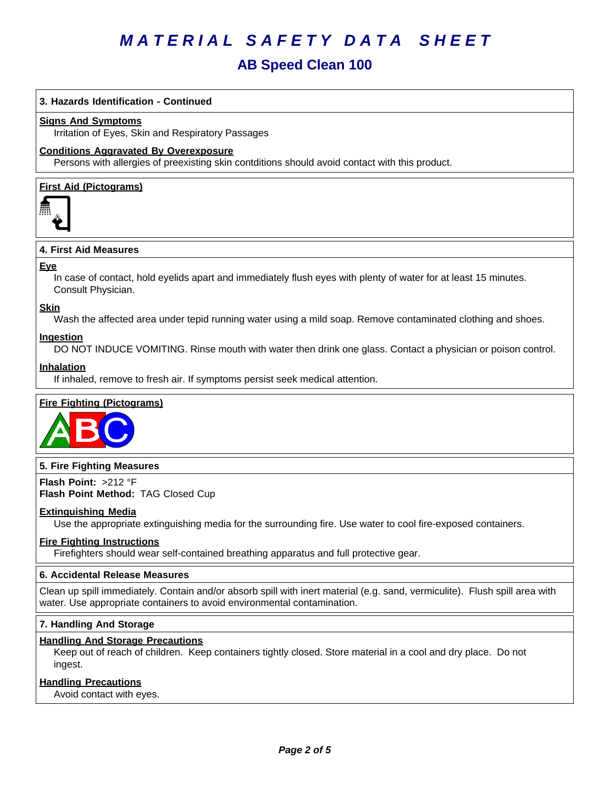# **AB Speed Clean 100**

## **3. Hazards Identification - Continued**

#### **Signs And Symptoms**

Irritation of Eyes, Skin and Respiratory Passages

#### **Conditions Aggravated By Overexposure**

Persons with allergies of preexisting skin contditions should avoid contact with this product.

### **First Aid (Pictograms)**



#### **4.FirstAidMeasures**

#### **Eye**

In case of contact, hold eyelids apart and immediately flush eyes with plenty of water for at least 15 minutes. Consult Physician.

#### **Skin**

Wash the affected area under tepid running water using a mild soap. Remove contaminated clothing and shoes.

#### **Ingestion**

DO NOT INDUCE VOMITING. Rinse mouth with water then drink one glass. Contact a physician or poison control.

#### **Inhalation**

If inhaled, remove to fresh air. If symptoms persist seek medical attention.

### **Fire Fighting (Pictograms)**



#### **5. Fire Fighting Measures**

**Flash Point:** >212°F **Flash Point Method:** TAG Closed Cup

#### **Extinguishing Media**

Use the appropriate extinguishing media for the surrounding fire. Use water to cool fire-exposed containers.

#### **Fire Fighting Instructions**

Firefighters should wear self-contained breathing apparatus and full protective gear.

## **6.Accidental ReleaseMeasures**

Clean up spill immediately. Contain and/or absorb spill with inert material (e.g. sand, vermiculite). Flush spill area with water. Use appropriate containers to avoid environmental contamination.

### **7. Handling And Storage**

#### **Handling And Storage Precautions**

Keep out of reach of children. Keep containers tightly closed. Store material in a cool and dry place. Do not ingest.

#### **Handling Precautions**

Avoid contact with eyes.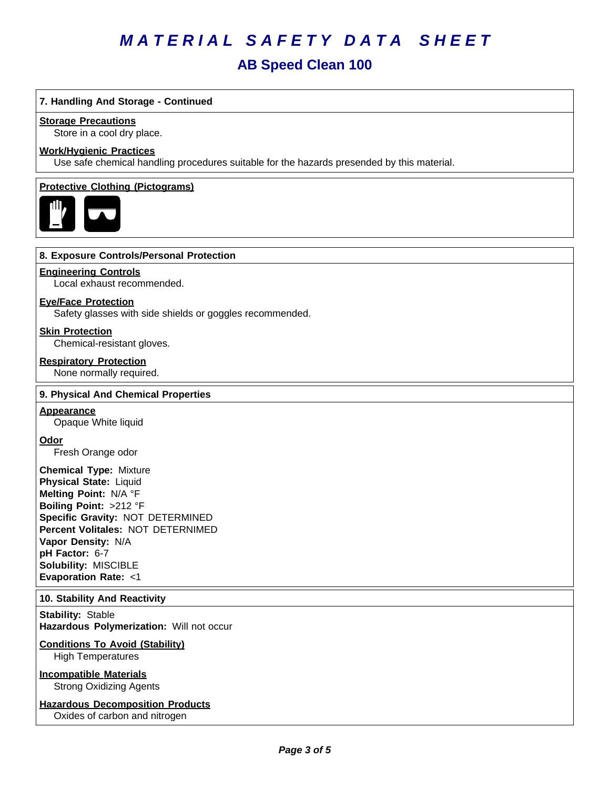# **AB Speed Clean 100**

## **7. Handling And Storage - Continued**

#### **Storage Precautions**

Store in a cool dry place.

#### **Work/Hygienic Practices**

Use safe chemical handling procedures suitable for the hazards presended by this material.

#### **Protective Clothing (Pictograms)**



#### **8. Exposure Controls/Personal Protection**

#### **Engineering Controls**

Local exhaust recommended.

## **Eye/Face Protection**

Safety glasses with side shields or goggles recommended.

### **Skin Protection**

Chemical-resistant gloves.

## **Respiratory Protection**

None normally required.

#### **9. Physical And Chemical Properties**

#### **Appearance**

Opaque White liquid

#### **Odor**

Fresh Orange odor

**Chemical Type:** Mixture **Physical State:** Liquid **Melting Point:** N/A°F **Boiling Point:** >212°F **Specific Gravity:** NOT DETERMINED **Percent Volitales:** NOT DETERNIMED **Vapor Density:** N/A **pH Factor:** 6-7 **Solubility: MISCIBLE Evaporation Rate:** <1

### **10. Stability And Reactivity**

**Stability: Stable Hazardous Polymerization: Will not occur** 

#### **Conditions To Avoid (Stability)** High Temperatures

**Incompatible Materials** Strong Oxidizing Agents

## **Hazardous Decomposition Products**

Oxides of carbon and nitrogen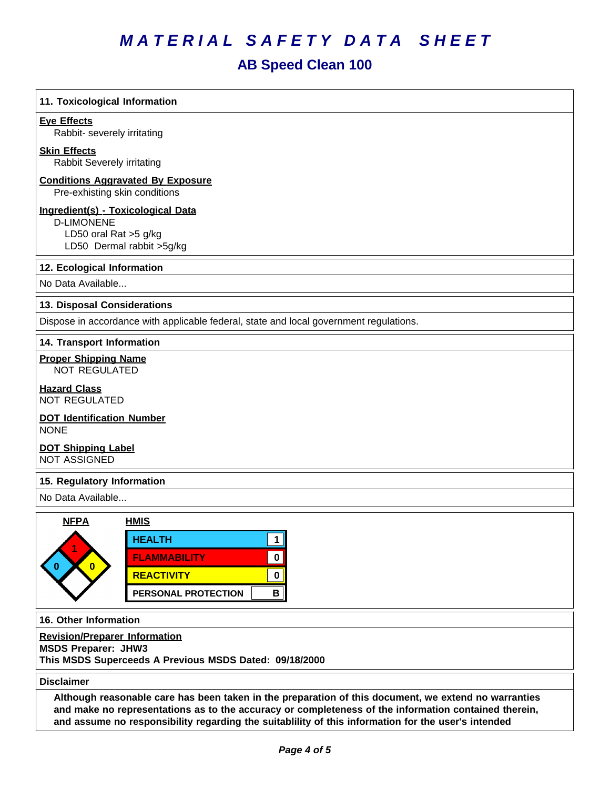# **AB Speed Clean 100**

| 11. Toxicological Information                                                                                 |                                                                                                                                                                                                                                                                                                                     |
|---------------------------------------------------------------------------------------------------------------|---------------------------------------------------------------------------------------------------------------------------------------------------------------------------------------------------------------------------------------------------------------------------------------------------------------------|
| <b>Eye Effects</b><br>Rabbit- severely irritating                                                             |                                                                                                                                                                                                                                                                                                                     |
| <b>Skin Effects</b><br>Rabbit Severely irritating                                                             |                                                                                                                                                                                                                                                                                                                     |
| <b>Conditions Aggravated By Exposure</b><br>Pre-exhisting skin conditions                                     |                                                                                                                                                                                                                                                                                                                     |
| Ingredient(s) - Toxicological Data<br><b>D-LIMONENE</b><br>LD50 oral Rat >5 g/kg<br>LD50 Dermal rabbit >5g/kg |                                                                                                                                                                                                                                                                                                                     |
| 12. Ecological Information                                                                                    |                                                                                                                                                                                                                                                                                                                     |
| No Data Available                                                                                             |                                                                                                                                                                                                                                                                                                                     |
| 13. Disposal Considerations                                                                                   |                                                                                                                                                                                                                                                                                                                     |
|                                                                                                               | Dispose in accordance with applicable federal, state and local government regulations.                                                                                                                                                                                                                              |
| 14. Transport Information                                                                                     |                                                                                                                                                                                                                                                                                                                     |
| <b>Proper Shipping Name</b><br><b>NOT REGULATED</b>                                                           |                                                                                                                                                                                                                                                                                                                     |
| <b>Hazard Class</b><br><b>NOT REGULATED</b>                                                                   |                                                                                                                                                                                                                                                                                                                     |
| <b>DOT Identification Number</b><br><b>NONE</b>                                                               |                                                                                                                                                                                                                                                                                                                     |
| <b>DOT Shipping Label</b><br><b>NOT ASSIGNED</b>                                                              |                                                                                                                                                                                                                                                                                                                     |
| 15. Regulatory Information                                                                                    |                                                                                                                                                                                                                                                                                                                     |
| No Data Available                                                                                             |                                                                                                                                                                                                                                                                                                                     |
| <b>NFPA</b>                                                                                                   | <b>HMIS</b>                                                                                                                                                                                                                                                                                                         |
|                                                                                                               | <b>HEALTH</b><br>1                                                                                                                                                                                                                                                                                                  |
| $\bf{0}$                                                                                                      | <b>FLAMMABILITY</b><br>0                                                                                                                                                                                                                                                                                            |
|                                                                                                               | <b>REACTIVITY</b><br>0                                                                                                                                                                                                                                                                                              |
|                                                                                                               | В<br>PERSONAL PROTECTION                                                                                                                                                                                                                                                                                            |
| 16. Other Information                                                                                         |                                                                                                                                                                                                                                                                                                                     |
| <b>Revision/Preparer Information</b><br><b>MSDS Preparer: JHW3</b>                                            | This MSDS Superceeds A Previous MSDS Dated: 09/18/2000                                                                                                                                                                                                                                                              |
| <b>Disclaimer</b>                                                                                             |                                                                                                                                                                                                                                                                                                                     |
|                                                                                                               | Although reasonable care has been taken in the preparation of this document, we extend no warranties<br>and make no representations as to the accuracy or completeness of the information contained therein,<br>and assume no responsibility regarding the suitablility of this information for the user's intended |